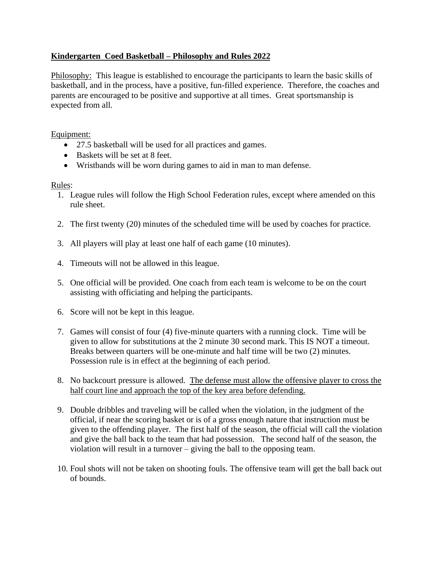## **Kindergarten Coed Basketball – Philosophy and Rules 2022**

Philosophy: This league is established to encourage the participants to learn the basic skills of basketball, and in the process, have a positive, fun-filled experience. Therefore, the coaches and parents are encouraged to be positive and supportive at all times. Great sportsmanship is expected from all.

## Equipment:

- 27.5 basketball will be used for all practices and games.
- Baskets will be set at 8 feet.
- Wristbands will be worn during games to aid in man to man defense.

## Rules:

- 1. League rules will follow the High School Federation rules, except where amended on this rule sheet.
- 2. The first twenty (20) minutes of the scheduled time will be used by coaches for practice.
- 3. All players will play at least one half of each game (10 minutes).
- 4. Timeouts will not be allowed in this league.
- 5. One official will be provided. One coach from each team is welcome to be on the court assisting with officiating and helping the participants.
- 6. Score will not be kept in this league.
- 7. Games will consist of four (4) five-minute quarters with a running clock. Time will be given to allow for substitutions at the 2 minute 30 second mark. This IS NOT a timeout. Breaks between quarters will be one-minute and half time will be two (2) minutes. Possession rule is in effect at the beginning of each period.
- 8. No backcourt pressure is allowed. The defense must allow the offensive player to cross the half court line and approach the top of the key area before defending.
- 9. Double dribbles and traveling will be called when the violation, in the judgment of the official, if near the scoring basket or is of a gross enough nature that instruction must be given to the offending player. The first half of the season, the official will call the violation and give the ball back to the team that had possession. The second half of the season, the violation will result in a turnover – giving the ball to the opposing team.
- 10. Foul shots will not be taken on shooting fouls. The offensive team will get the ball back out of bounds.